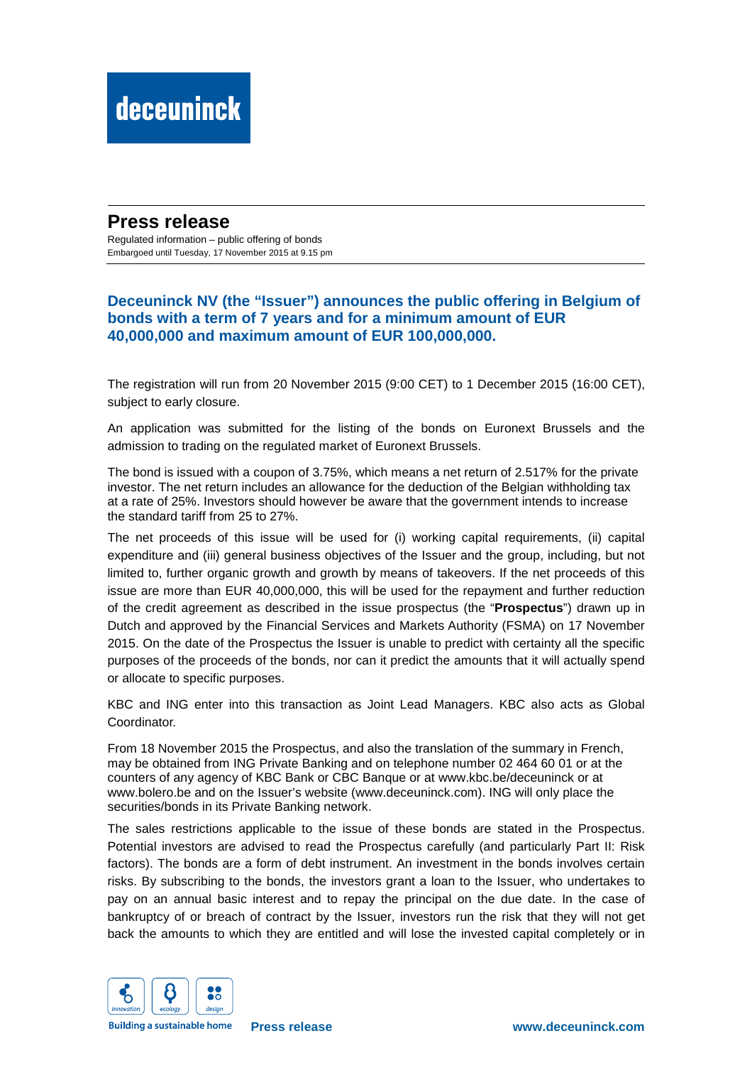## **Press release**

Regulated information – public offering of bonds Embargoed until Tuesday, 17 November 2015 at 9.15 pm

## **Deceuninck NV (the "Issuer") announces the public offering in Belgium of bonds with a term of 7 years and for a minimum amount of EUR 40,000,000 and maximum amount of EUR 100,000,000.**

The registration will run from 20 November 2015 (9:00 CET) to 1 December 2015 (16:00 CET), subject to early closure.

An application was submitted for the listing of the bonds on Euronext Brussels and the admission to trading on the regulated market of Euronext Brussels.

The bond is issued with a coupon of 3.75%, which means a net return of 2.517% for the private investor. The net return includes an allowance for the deduction of the Belgian withholding tax at a rate of 25%. Investors should however be aware that the government intends to increase the standard tariff from 25 to 27%.

The net proceeds of this issue will be used for (i) working capital requirements, (ii) capital expenditure and (iii) general business objectives of the Issuer and the group, including, but not limited to, further organic growth and growth by means of takeovers. If the net proceeds of this issue are more than EUR 40,000,000, this will be used for the repayment and further reduction of the credit agreement as described in the issue prospectus (the "**Prospectus**") drawn up in Dutch and approved by the Financial Services and Markets Authority (FSMA) on 17 November 2015. On the date of the Prospectus the Issuer is unable to predict with certainty all the specific purposes of the proceeds of the bonds, nor can it predict the amounts that it will actually spend or allocate to specific purposes.

KBC and ING enter into this transaction as Joint Lead Managers. KBC also acts as Global Coordinator.

From 18 November 2015 the Prospectus, and also the translation of the summary in French, may be obtained from ING Private Banking and on telephone number 02 464 60 01 or at the counters of any agency of KBC Bank or CBC Banque or at www.kbc.be/deceuninck or at www.bolero.be and on the Issuer's website (www.deceuninck.com). ING will only place the securities/bonds in its Private Banking network.

The sales restrictions applicable to the issue of these bonds are stated in the Prospectus. Potential investors are advised to read the Prospectus carefully (and particularly Part II: Risk factors). The bonds are a form of debt instrument. An investment in the bonds involves certain risks. By subscribing to the bonds, the investors grant a loan to the Issuer, who undertakes to pay on an annual basic interest and to repay the principal on the due date. In the case of bankruptcy of or breach of contract by the Issuer, investors run the risk that they will not get back the amounts to which they are entitled and will lose the invested capital completely or in



**Building a sustainable home**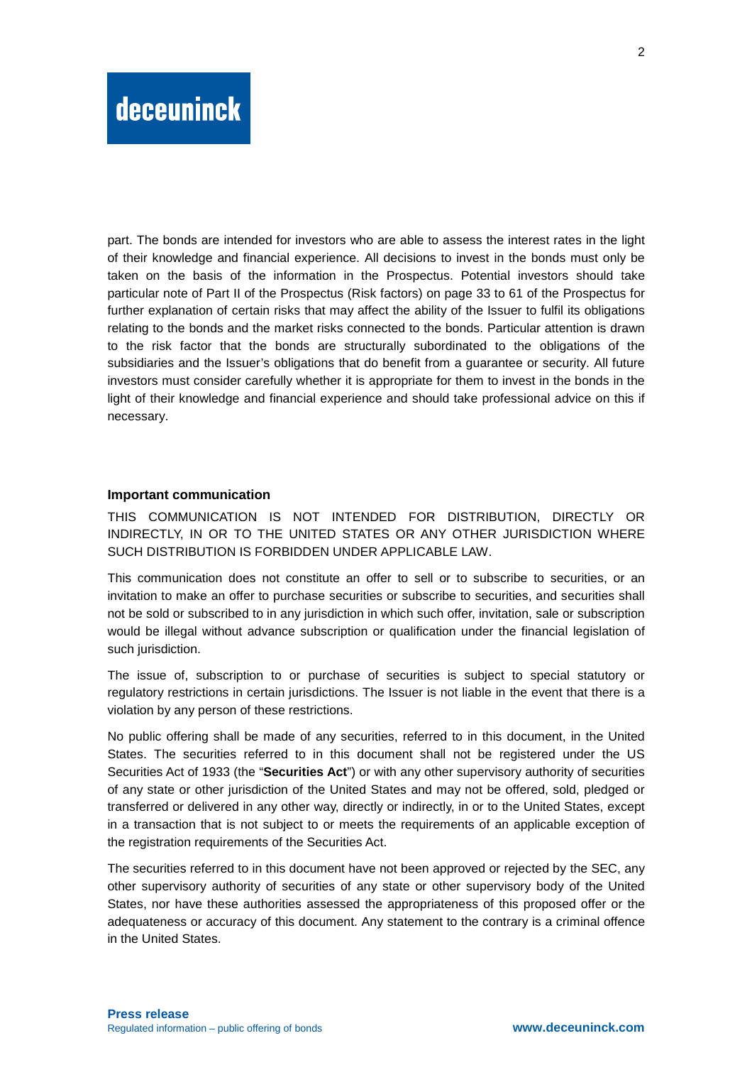part. The bonds are intended for investors who are able to assess the interest rates in the light of their knowledge and financial experience. All decisions to invest in the bonds must only be taken on the basis of the information in the Prospectus. Potential investors should take particular note of Part II of the Prospectus (Risk factors) on page 33 to 61 of the Prospectus for further explanation of certain risks that may affect the ability of the Issuer to fulfil its obligations relating to the bonds and the market risks connected to the bonds. Particular attention is drawn to the risk factor that the bonds are structurally subordinated to the obligations of the subsidiaries and the Issuer's obligations that do benefit from a guarantee or security. All future investors must consider carefully whether it is appropriate for them to invest in the bonds in the light of their knowledge and financial experience and should take professional advice on this if necessary.

### **Important communication**

THIS COMMUNICATION IS NOT INTENDED FOR DISTRIBUTION, DIRECTLY OR INDIRECTLY, IN OR TO THE UNITED STATES OR ANY OTHER JURISDICTION WHERE SUCH DISTRIBUTION IS FORBIDDEN UNDER APPLICABLE LAW.

This communication does not constitute an offer to sell or to subscribe to securities, or an invitation to make an offer to purchase securities or subscribe to securities, and securities shall not be sold or subscribed to in any jurisdiction in which such offer, invitation, sale or subscription would be illegal without advance subscription or qualification under the financial legislation of such jurisdiction.

The issue of, subscription to or purchase of securities is subject to special statutory or regulatory restrictions in certain jurisdictions. The Issuer is not liable in the event that there is a violation by any person of these restrictions.

No public offering shall be made of any securities, referred to in this document, in the United States. The securities referred to in this document shall not be registered under the US Securities Act of 1933 (the "**Securities Act**") or with any other supervisory authority of securities of any state or other jurisdiction of the United States and may not be offered, sold, pledged or transferred or delivered in any other way, directly or indirectly, in or to the United States, except in a transaction that is not subject to or meets the requirements of an applicable exception of the registration requirements of the Securities Act.

The securities referred to in this document have not been approved or rejected by the SEC, any other supervisory authority of securities of any state or other supervisory body of the United States, nor have these authorities assessed the appropriateness of this proposed offer or the adequateness or accuracy of this document. Any statement to the contrary is a criminal offence in the United States.